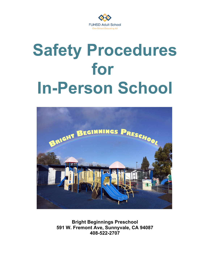

# **Safety Procedures for In-Person School**



**Bright Beginnings Preschool 591 W. Fremont Ave, Sunnyvale, CA 94087 408-522-2707**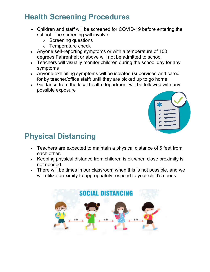## **Health Screening Procedures**

- Children and staff will be screened for COVID-19 before entering the school. The screening will involve:
	- o Screening questions
	- o Temperature check
- Anyone self-reporting symptoms or with a temperature of 100 degrees Fahrenheit or above will not be admitted to school
- Teachers will visually monitor children during the school day for any symptoms
- Anyone exhibiting symptoms will be isolated (supervised and cared for by teacher/office staff) until they are picked up to go home
- Guidance from the local health department will be followed with any possible exposure



# **Physical Distancing**

- Teachers are expected to maintain a physical distance of 6 feet from each other.
- Keeping physical distance from children is ok when close proximity is not needed.
- There will be times in our classroom when this is not possible, and we will utilize proximity to appropriately respond to your child's needs

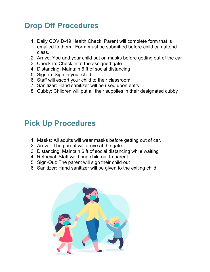#### **Drop Off Procedures**

- 1. Daily COVID-19 Health Check: Parent will complete form that is emailed to them. Form must be submitted before child can attend class.
- 2. Arrive: You and your child put on masks before getting out of the car
- 3. Check-in: Check in at the assigned gate
- 4. Distancing: Maintain 6 ft of social distancing
- 5. Sign-in: Sign in your child.
- 6. Staff will escort your child to their classroom
- 7. Sanitizer: Hand sanitizer will be used upon entry
- 8. Cubby: Children will put all their supplies in their designated cubby

#### **Pick Up Procedures**

- 1. Masks: All adults will wear masks before getting out of car.
- 2. Arrival: The parent will arrive at the gate
- 3. Distancing: Maintain 6 ft of social distancing while waiting
- 4. Retrieval: Staff will bring child out to parent
- 5. Sign-Out: The parent will sign their child out
- 6. Sanitizer: Hand sanitizer will be given to the exiting child